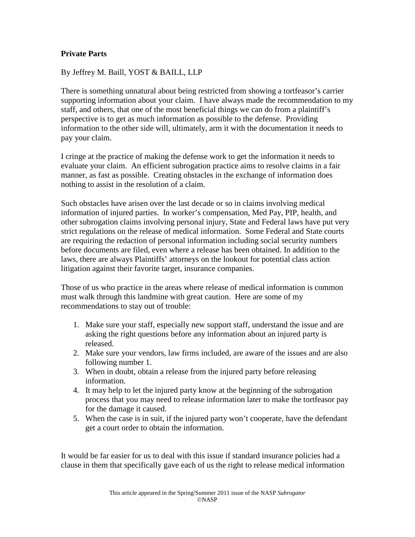## **Private Parts**

By Jeffrey M. Baill, YOST & BAILL, LLP

There is something unnatural about being restricted from showing a tortfeasor's carrier supporting information about your claim. I have always made the recommendation to my staff, and others, that one of the most beneficial things we can do from a plaintiff's perspective is to get as much information as possible to the defense. Providing information to the other side will, ultimately, arm it with the documentation it needs to pay your claim.

I cringe at the practice of making the defense work to get the information it needs to evaluate your claim. An efficient subrogation practice aims to resolve claims in a fair manner, as fast as possible. Creating obstacles in the exchange of information does nothing to assist in the resolution of a claim.

Such obstacles have arisen over the last decade or so in claims involving medical information of injured parties. In worker's compensation, Med Pay, PIP, health, and other subrogation claims involving personal injury, State and Federal laws have put very strict regulations on the release of medical information. Some Federal and State courts are requiring the redaction of personal information including social security numbers before documents are filed, even where a release has been obtained. In addition to the laws, there are always Plaintiffs' attorneys on the lookout for potential class action litigation against their favorite target, insurance companies.

Those of us who practice in the areas where release of medical information is common must walk through this landmine with great caution. Here are some of my recommendations to stay out of trouble:

- 1. Make sure your staff, especially new support staff, understand the issue and are asking the right questions before any information about an injured party is released.
- 2. Make sure your vendors, law firms included, are aware of the issues and are also following number 1.
- 3. When in doubt, obtain a release from the injured party before releasing information.
- 4. It may help to let the injured party know at the beginning of the subrogation process that you may need to release information later to make the tortfeasor pay for the damage it caused.
- 5. When the case is in suit, if the injured party won't cooperate, have the defendant get a court order to obtain the information.

It would be far easier for us to deal with this issue if standard insurance policies had a clause in them that specifically gave each of us the right to release medical information